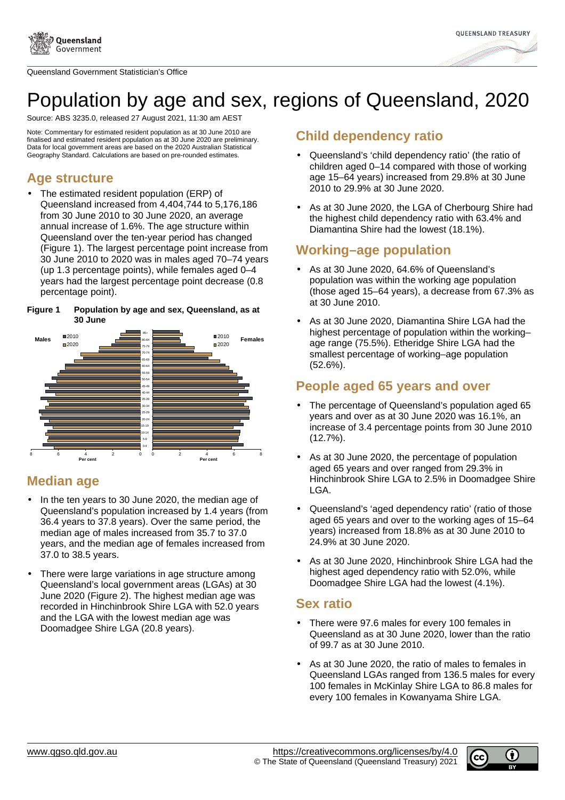

Queensland Government Statistician's Office



# Population by age and sex, regions of Queensland, 2020

Source: ABS 3235.0, released 27 August 2021, 11:30 am AEST

Note: Commentary for estimated resident population as at 30 June 2010 are finalised and estimated resident population as at 30 June 2020 are preliminary. Data for local government areas are based on the 2020 Australian Statistical Geography Standard. Calculations are based on pre-rounded estimates.

#### **Age structure**

The estimated resident population (ERP) of Queensland increased from 4,404,744 to 5,176,186 from 30 June 2010 to 30 June 2020, an average annual increase of 1.6%. The age structure within Queensland over the ten-year period has changed (Figure 1). The largest percentage point increase from 30 June 2010 to 2020 was in males aged 70–74 years (up 1.3 percentage points), while females aged 0–4 years had the largest percentage point decrease (0.8 percentage point).

#### **Figure 1 Population by age and sex, Queensland, as at 30 June**



#### **Median age**

- In the ten years to 30 June 2020, the median age of Queensland's population increased by 1.4 years (from 36.4 years to 37.8 years). Over the same period, the median age of males increased from 35.7 to 37.0 years, and the median age of females increased from 37.0 to 38.5 years.
- There were large variations in age structure among Queensland's local government areas (LGAs) at 30 June 2020 (Figure 2). The highest median age was recorded in Hinchinbrook Shire LGA with 52.0 years and the LGA with the lowest median age was Doomadgee Shire LGA (20.8 years).

#### **Child dependency ratio**

- Queensland's 'child dependency ratio' (the ratio of children aged 0–14 compared with those of working age 15–64 years) increased from 29.8% at 30 June 2010 to 29.9% at 30 June 2020.
- As at 30 June 2020, the LGA of Cherbourg Shire had the highest child dependency ratio with 63.4% and Diamantina Shire had the lowest (18.1%).

## **Working–age population**

- As at 30 June 2020, 64.6% of Queensland's population was within the working age population (those aged 15–64 years), a decrease from 67.3% as at 30 June 2010.
- As at 30 June 2020, Diamantina Shire LGA had the highest percentage of population within the working– age range (75.5%). Etheridge Shire LGA had the smallest percentage of working–age population (52.6%).

### **People aged 65 years and over**

- The percentage of Queensland's population aged 65 years and over as at 30 June 2020 was 16.1%, an increase of 3.4 percentage points from 30 June 2010 (12.7%).
- As at 30 June 2020, the percentage of population aged 65 years and over ranged from 29.3% in Hinchinbrook Shire LGA to 2.5% in Doomadgee Shire LGA.
- Queensland's 'aged dependency ratio' (ratio of those aged 65 years and over to the working ages of 15–64 years) increased from 18.8% as at 30 June 2010 to 24.9% at 30 June 2020.
- As at 30 June 2020, Hinchinbrook Shire LGA had the highest aged dependency ratio with 52.0%, while Doomadgee Shire LGA had the lowest (4.1%).

#### **Sex ratio**

- There were 97.6 males for every 100 females in Queensland as at 30 June 2020, lower than the ratio of 99.7 as at 30 June 2010.
- As at 30 June 2020, the ratio of males to females in Queensland LGAs ranged from 136.5 males for every 100 females in McKinlay Shire LGA to 86.8 males for every 100 females in Kowanyama Shire LGA.